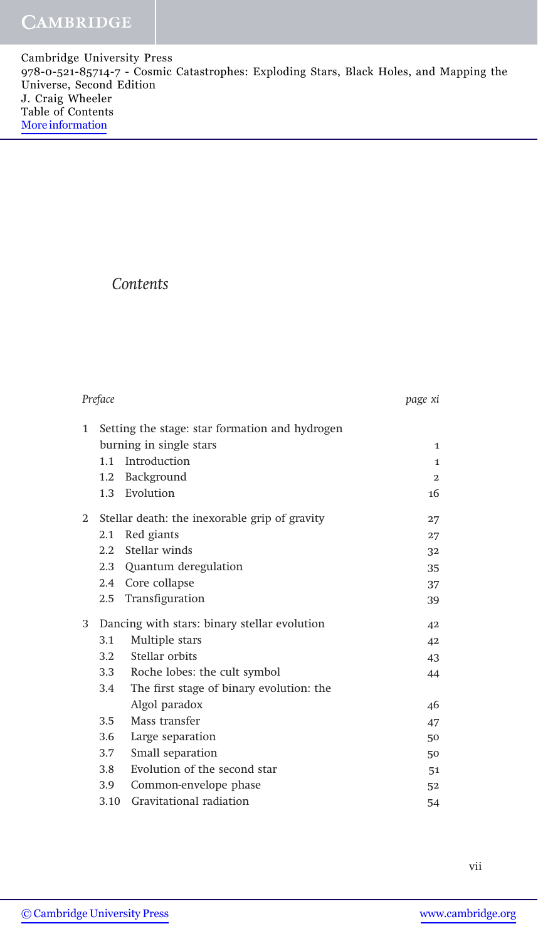Cambridge University Press 978-0-521-85714-7 - Cosmic Catastrophes: Exploding Stars, Black Holes, and Mapping the Universe, Second Edition J. Craig Wheeler Table of Contents [More information](http://www.cambridge.org/0521857147)

## Contents

| Preface      |                                                | page xi                                  |                |
|--------------|------------------------------------------------|------------------------------------------|----------------|
| $\mathbf{1}$ | Setting the stage: star formation and hydrogen |                                          |                |
|              |                                                | burning in single stars                  | $\mathbf{1}$   |
|              | 1.1                                            | Introduction                             | $\mathbf{1}$   |
|              | $1.2\,$                                        | Background                               | $\overline{2}$ |
|              |                                                | 1.3 Evolution                            | 16             |
| $\mathbf{2}$ | Stellar death: the inexorable grip of gravity  |                                          | 27             |
|              | 2.1                                            | Red giants                               | 27             |
|              | 2.2                                            | Stellar winds                            | 32             |
|              |                                                | 2.3 Quantum deregulation                 | 35             |
|              |                                                | 2.4 Core collapse                        | 37             |
|              | 2.5                                            | Transfiguration                          | 39             |
| 3            | Dancing with stars: binary stellar evolution   |                                          | 42             |
|              | 3.1                                            | Multiple stars                           | 42             |
|              | 3.2                                            | Stellar orbits                           | 43             |
|              | 3.3                                            | Roche lobes: the cult symbol             | 44             |
|              | 3.4                                            | The first stage of binary evolution: the |                |
|              |                                                | Algol paradox                            | 46             |
|              | 3.5                                            | Mass transfer                            | 47             |
|              | 3.6                                            | Large separation                         | 50             |
|              | 3.7                                            | Small separation                         | 50             |
|              | 3.8                                            | Evolution of the second star             | 51             |
|              | 3.9                                            | Common-envelope phase                    | 52             |
|              | 3.10                                           | Gravitational radiation                  | 54             |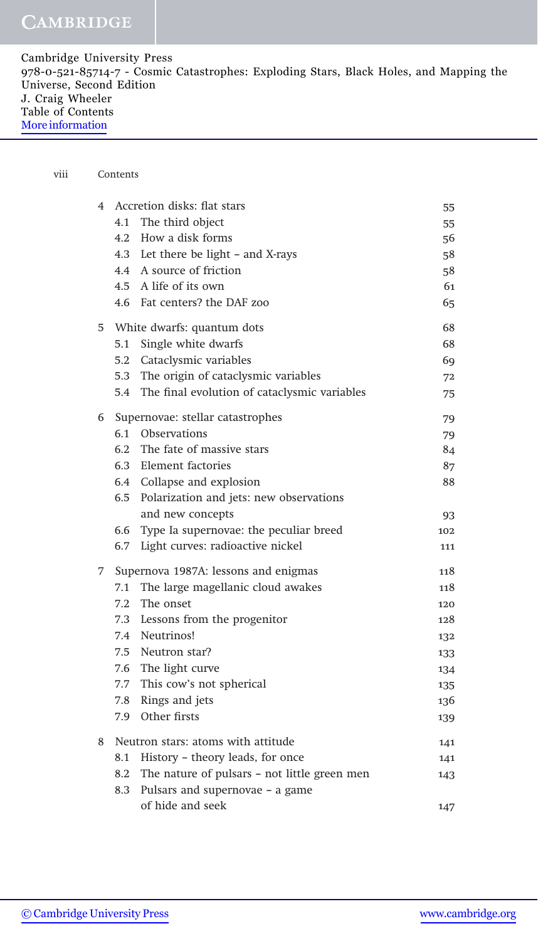| Cambridge University Press                                                             |
|----------------------------------------------------------------------------------------|
| 978-0-521-85714-7 - Cosmic Catastrophes: Exploding Stars, Black Holes, and Mapping the |
| Universe, Second Edition                                                               |
| J. Craig Wheeler                                                                       |
| Table of Contents                                                                      |
| More information                                                                       |
|                                                                                        |

## viii Contents

| $\overline{4}$ |                                  | Accretion disks: flat stars                  | 55  |
|----------------|----------------------------------|----------------------------------------------|-----|
|                |                                  | 4.1 The third object                         | 55. |
|                | 4.2                              | How a disk forms                             | 56  |
|                |                                  | 4.3 Let there be light – and X-rays          | 58  |
|                |                                  | 4.4 A source of friction                     | 58  |
|                |                                  | 4.5 A life of its own                        | 61  |
|                |                                  | 4.6 Fat centers? the DAF zoo                 | 65  |
| 5              |                                  | White dwarfs: quantum dots                   | 68  |
|                | 5.1                              | Single white dwarfs                          | 68  |
|                | 5.2                              | Cataclysmic variables                        | 69  |
|                | 5.3                              | The origin of cataclysmic variables          | 72  |
|                | 5.4                              | The final evolution of cataclysmic variables | 75  |
| 6              | Supernovae: stellar catastrophes | 79                                           |     |
|                |                                  | 6.1 Observations                             | 79  |
|                |                                  | 6.2 The fate of massive stars                | 84  |
|                |                                  | 6.3 Element factories                        | 87  |
|                |                                  | 6.4 Collapse and explosion                   | 88  |
|                | 6.5                              | Polarization and jets: new observations      |     |
|                |                                  | and new concepts                             | 93  |
|                |                                  | 6.6 Type Ia supernovae: the peculiar breed   | 102 |
|                | 6.7                              | Light curves: radioactive nickel             | 111 |
| 7              |                                  | Supernova 1987A: lessons and enigmas         | 118 |
|                | 7.1                              | The large magellanic cloud awakes            | 118 |
|                | 7.2                              | The onset                                    | 120 |
|                | 7.3                              | Lessons from the progenitor                  | 128 |
|                | 7.4                              | Neutrinos!                                   | 132 |
|                | 7.5                              | Neutron star?                                | 133 |
|                | 7.6                              | The light curve                              | 134 |
|                | 7.7                              | This cow's not spherical                     | 135 |
|                | 7.8                              | Rings and jets                               | 136 |
|                | 7.9                              | Other firsts                                 | 139 |
| 8              |                                  | Neutron stars: atoms with attitude           | 141 |
|                | 8.1                              | History - theory leads, for once             | 141 |
|                | 8.2                              | The nature of pulsars - not little green men | 143 |
|                | 8.3                              | Pulsars and supernovae - a game              |     |
|                |                                  | of hide and seek                             | 147 |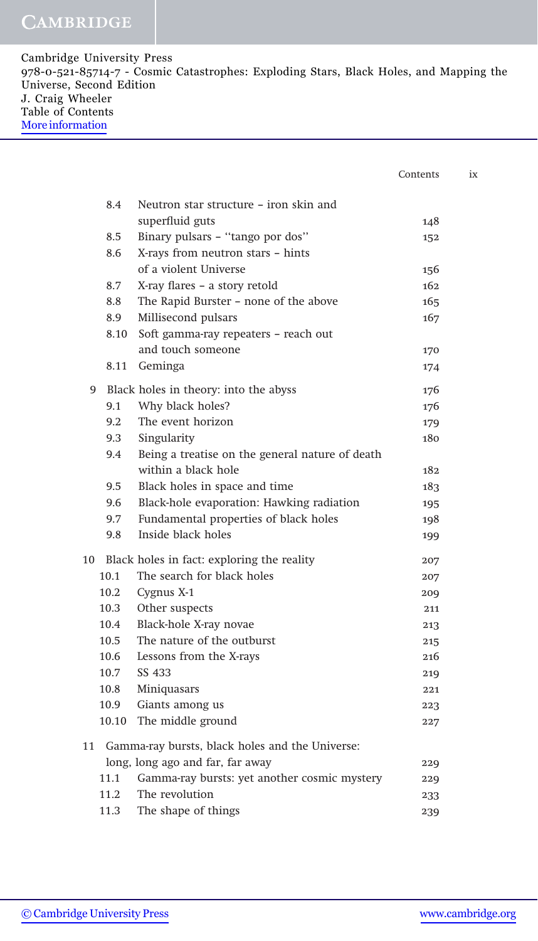Cambridge University Press 978-0-521-85714-7 - Cosmic Catastrophes: Exploding Stars, Black Holes, and Mapping the Universe, Second Edition J. Craig Wheeler Table of Contents [More information](http://www.cambridge.org/0521857147)

|       |                                                 | Contents |
|-------|-------------------------------------------------|----------|
|       |                                                 |          |
| 8.4   | Neutron star structure – iron skin and          |          |
|       | superfluid guts                                 | 148      |
| 8.5   | Binary pulsars - "tango por dos"                | 152      |
| 8.6   | X-rays from neutron stars - hints               |          |
|       | of a violent Universe                           | 156      |
| 8.7   | X-ray flares - a story retold                   | 162      |
| 8.8   | The Rapid Burster - none of the above           | 165      |
| 8.9   | Millisecond pulsars                             | 167      |
| 8.10  | Soft gamma-ray repeaters - reach out            |          |
|       | and touch someone                               | 170      |
|       | 8.11 Geminga                                    | 174      |
| 9     | Black holes in theory: into the abyss           | 176      |
| 9.1   | Why black holes?                                | 176      |
| 9.2   | The event horizon                               | 179      |
| 9.3   | Singularity                                     | 180      |
| 9.4   | Being a treatise on the general nature of death |          |
|       | within a black hole                             | 182      |
| 9.5   | Black holes in space and time                   | 183      |
| 9.6   | Black-hole evaporation: Hawking radiation       | 195      |
| 9.7   | Fundamental properties of black holes           | 198      |
| 9.8   | Inside black holes                              | 199      |
|       | 10 Black holes in fact: exploring the reality   | 207      |
| 10.1  | The search for black holes                      | 207      |
| 10.2  | Cygnus X-1                                      | 209      |
| 10.3  | Other suspects                                  | 211      |
| 10.4  | Black-hole X-ray novae                          | 213      |
| 10.5  | The nature of the outburst                      | 215      |
| 10.6  | Lessons from the X-rays                         | 216      |
| 10.7  | SS 433                                          | 219      |
| 10.8  | Miniquasars                                     | 221      |
| 10.9  | Giants among us                                 | 223      |
| 10.10 | The middle ground                               | 227      |
| 11    | Gamma-ray bursts, black holes and the Universe: |          |
|       | long, long ago and far, far away                | 229      |
| 11.1  | Gamma-ray bursts: yet another cosmic mystery    | 229      |
| 11.2  | The revolution                                  | 233      |
| 11.3  | The shape of things                             | 239      |
|       |                                                 |          |

 $i\mathrm{x}$